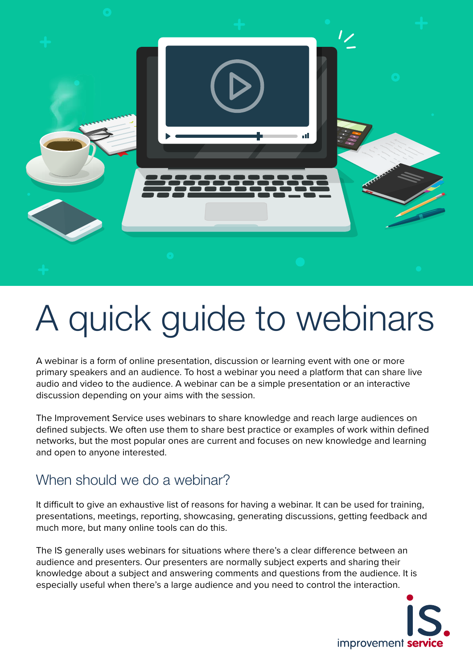

# A quick guide to webinars

A webinar is a form of online presentation, discussion or learning event with one or more primary speakers and an audience. To host a webinar you need a platform that can share live audio and video to the audience. A webinar can be a simple presentation or an interactive discussion depending on your aims with the session.

The Improvement Service uses webinars to share knowledge and reach large audiences on defined subjects. We often use them to share best practice or examples of work within defined networks, but the most popular ones are current and focuses on new knowledge and learning and open to anyone interested.

#### When should we do a webinar?

It difficult to give an exhaustive list of reasons for having a webinar. It can be used for training, presentations, meetings, reporting, showcasing, generating discussions, getting feedback and much more, but many online tools can do this.

The IS generally uses webinars for situations where there's a clear difference between an audience and presenters. Our presenters are normally subject experts and sharing their knowledge about a subject and answering comments and questions from the audience. It is especially useful when there's a large audience and you need to control the interaction.

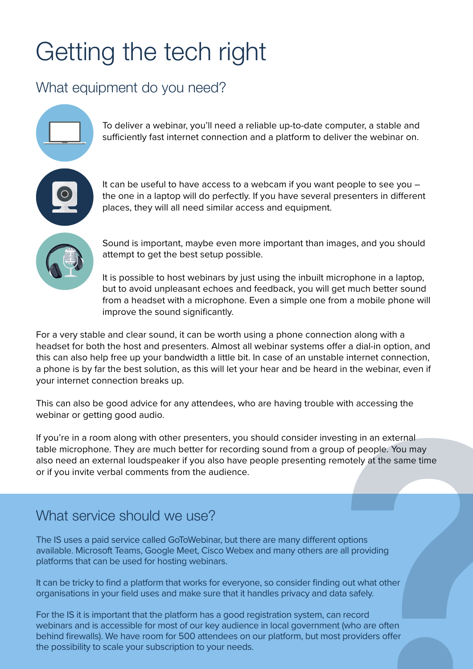## Getting the tech right

#### What equipment do you need?



To deliver a webinar, you'll need a reliable up-to-date computer, a stable and sufficiently fast internet connection and a platform to deliver the webinar on.

It can be useful to have access to a webcam if you want people to see you – the one in a laptop will do perfectly. If you have several presenters in different places, they will all need similar access and equipment.

Sound is important, maybe even more important than images, and you should attempt to get the best setup possible.

It is possible to host webinars by just using the inbuilt microphone in a laptop, but to avoid unpleasant echoes and feedback, you will get much better sound from a headset with a microphone. Even a simple one from a mobile phone will improve the sound significantly.

For a very stable and clear sound, it can be worth using a phone connection along with a headset for both the host and presenters. Almost all webinar systems offer a dial-in option, and this can also help free up your bandwidth a little bit. In case of an unstable internet connection, a phone is by far the best solution, as this will let your hear and be heard in the webinar, even if your internet connection breaks up.

This can also be good advice for any attendees, who are having trouble with accessing the webinar or getting good audio.

If you're in a room along with other presenters, you should consider investing in an external table microphone. They are much better for recording sound from a group of people. You may also need an external loudspeaker if you also have people presenting remotely at the same time or if you invite verbal comments from the audience.

### What service should we use?

The IS uses a paid service called GoToWebinar, but there are many different options available. Microsoft Teams, Google Meet, Cisco Webex and many others are all providing platforms that can be used for hosting webinars.

It can be tricky to find a platform that works for everyone, so consider finding out what other organisations in your field uses and make sure that it handles privacy and data safely.

For the IS it is important that the platform has a good registration system, can record webinars and is accessible for most of our key audience in local government (who are often behind firewalls). We have room for 500 attendees on our platform, but most providers offer the possibility to scale your subscription to your needs.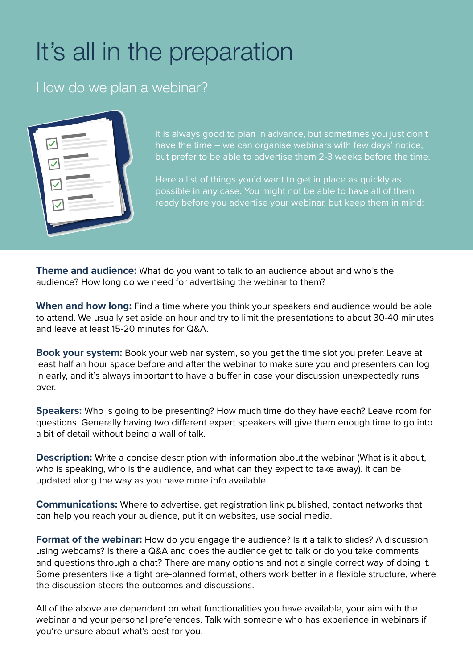## It's all in the preparation

#### How do we plan a webinar?

| $\overline{\triangle}$                           |  |  |
|--------------------------------------------------|--|--|
| $\blacktriangledown$<br><b>Contract Contract</b> |  |  |
| $\triangle$                                      |  |  |
|                                                  |  |  |
| $\sqrt{}$<br>$\mathsf{I} =$                      |  |  |
|                                                  |  |  |
|                                                  |  |  |

It is always good to plan in advance, but sometimes you just don't have the time – we can organise webinars with few days' notice, but prefer to be able to advertise them 2-3 weeks before the time.

Here a list of things you'd want to get in place as quickly as possible in any case. You might not be able to have all of them ready before you advertise your webinar, but keep them in mind:

**Theme and audience:** What do you want to talk to an audience about and who's the audience? How long do we need for advertising the webinar to them?

**When and how long:** Find a time where you think your speakers and audience would be able to attend. We usually set aside an hour and try to limit the presentations to about 30-40 minutes and leave at least 15-20 minutes for Q&A.

**Book your system:** Book your webinar system, so you get the time slot you prefer. Leave at least half an hour space before and after the webinar to make sure you and presenters can log in early, and it's always important to have a buffer in case your discussion unexpectedly runs over.

**Speakers:** Who is going to be presenting? How much time do they have each? Leave room for questions. Generally having two different expert speakers will give them enough time to go into a bit of detail without being a wall of talk.

**Description:** Write a concise description with information about the webinar (What is it about, who is speaking, who is the audience, and what can they expect to take away). It can be updated along the way as you have more info available.

**Communications:** Where to advertise, get registration link published, contact networks that can help you reach your audience, put it on websites, use social media.

**Format of the webinar:** How do you engage the audience? Is it a talk to slides? A discussion using webcams? Is there a Q&A and does the audience get to talk or do you take comments and questions through a chat? There are many options and not a single correct way of doing it. Some presenters like a tight pre-planned format, others work better in a flexible structure, where the discussion steers the outcomes and discussions.

All of the above are dependent on what functionalities you have available, your aim with the webinar and your personal preferences. Talk with someone who has experience in webinars if you're unsure about what's best for you.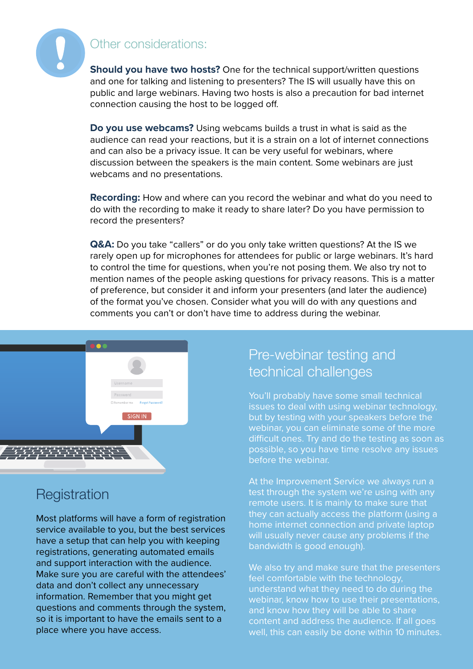

#### Other considerations:

**Should you have two hosts?** One for the technical support/written questions and one for talking and listening to presenters? The IS will usually have this on public and large webinars. Having two hosts is also a precaution for bad internet connection causing the host to be logged off.

**Do you use webcams?** Using webcams builds a trust in what is said as the audience can read your reactions, but it is a strain on a lot of internet connections and can also be a privacy issue. It can be very useful for webinars, where discussion between the speakers is the main content. Some webinars are just webcams and no presentations.

**Recording:** How and where can you record the webinar and what do you need to do with the recording to make it ready to share later? Do you have permission to record the presenters?

**Q&A:** Do you take "callers" or do you only take written questions? At the IS we rarely open up for microphones for attendees for public or large webinars. It's hard to control the time for questions, when you're not posing them. We also try not to mention names of the people asking questions for privacy reasons. This is a matter of preference, but consider it and inform your presenters (and later the audience) of the format you've chosen. Consider what you will do with any questions and comments you can't or don't have time to address during the webinar.



#### **Registration**

Most platforms will have a form of registration service available to you, but the best services have a setup that can help you with keeping registrations, generating automated emails and support interaction with the audience. Make sure you are careful with the attendees' data and don't collect any unnecessary information. Remember that you might get questions and comments through the system, so it is important to have the emails sent to a place where you have access.

#### Pre-webinar testing and technical challenges

You'll probably have some small technical issues to deal with using webinar technology, but by testing with your speakers before the webinar, you can eliminate some of the more difficult ones. Try and do the testing as soon as possible, so you have time resolve any issues before the webinar.

At the Improvement Service we always run a test through the system we're using with any remote users. It is mainly to make sure that they can actually access the platform (using a home internet connection and private laptop will usually never cause any problems if the bandwidth is good enough).

We also try and make sure that the presenters feel comfortable with the technology, understand what they need to do during the webinar, know how to use their presentations, and know how they will be able to share content and address the audience. If all goes well, this can easily be done within 10 minutes.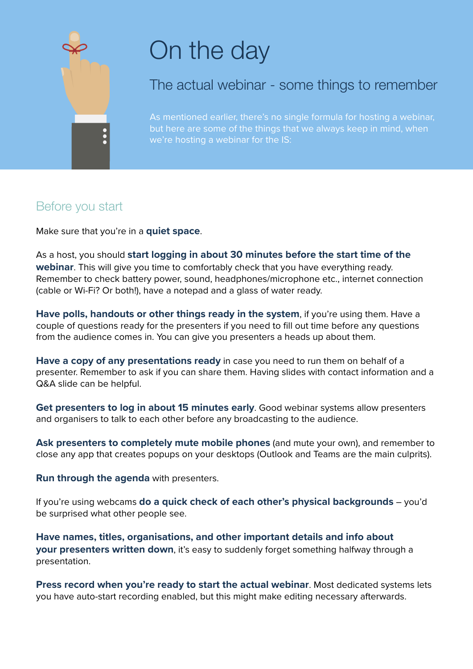

## On the day

#### The actual webinar - some things to remember

As mentioned earlier, there's no single formula for hosting a webinar, but here are some of the things that we always keep in mind, when we're hosting a webinar for the IS:

#### Before you start

Make sure that you're in a **quiet space**.

As a host, you should **start logging in about 30 minutes before the start time of the webinar**. This will give you time to comfortably check that you have everything ready. Remember to check battery power, sound, headphones/microphone etc., internet connection (cable or Wi-Fi? Or both!), have a notepad and a glass of water ready.

**Have polls, handouts or other things ready in the system**, if you're using them. Have a couple of questions ready for the presenters if you need to fill out time before any questions from the audience comes in. You can give you presenters a heads up about them.

**Have a copy of any presentations ready** in case you need to run them on behalf of a presenter. Remember to ask if you can share them. Having slides with contact information and a Q&A slide can be helpful.

**Get presenters to log in about 15 minutes early**. Good webinar systems allow presenters and organisers to talk to each other before any broadcasting to the audience.

**Ask presenters to completely mute mobile phones** (and mute your own), and remember to close any app that creates popups on your desktops (Outlook and Teams are the main culprits).

**Run through the agenda** with presenters.

If you're using webcams **do a quick check of each other's physical backgrounds** – you'd be surprised what other people see.

**Have names, titles, organisations, and other important details and info about your presenters written down**, it's easy to suddenly forget something halfway through a presentation.

**Press record when you're ready to start the actual webinar**. Most dedicated systems lets you have auto-start recording enabled, but this might make editing necessary afterwards.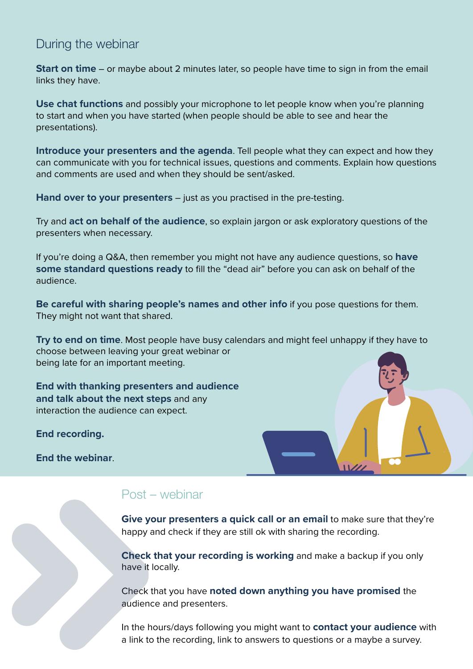#### During the webinar

**Start on time** – or maybe about 2 minutes later, so people have time to sign in from the email links they have.

**Use chat functions** and possibly your microphone to let people know when you're planning to start and when you have started (when people should be able to see and hear the presentations).

**Introduce your presenters and the agenda**. Tell people what they can expect and how they can communicate with you for technical issues, questions and comments. Explain how questions and comments are used and when they should be sent/asked.

**Hand over to your presenters** – just as you practised in the pre-testing.

Try and **act on behalf of the audience**, so explain jargon or ask exploratory questions of the presenters when necessary.

If you're doing a Q&A, then remember you might not have any audience questions, so **have some standard questions ready** to fill the "dead air" before you can ask on behalf of the audience.

**Be careful with sharing people's names and other info** if you pose questions for them. They might not want that shared.

**Try to end on time**. Most people have busy calendars and might feel unhappy if they have to choose between leaving your great webinar or being late for an important meeting.

**End with thanking presenters and audience and talk about the next steps** and any interaction the audience can expect.

**End recording.**

**End the webinar**.

#### Post – webinar

**Give your presenters a quick call or an email** to make sure that they're happy and check if they are still ok with sharing the recording.

**Check that your recording is working** and make a backup if you only have it locally.

Check that you have **noted down anything you have promised** the audience and presenters.

In the hours/days following you might want to **contact your audience** with a link to the recording, link to answers to questions or a maybe a survey.